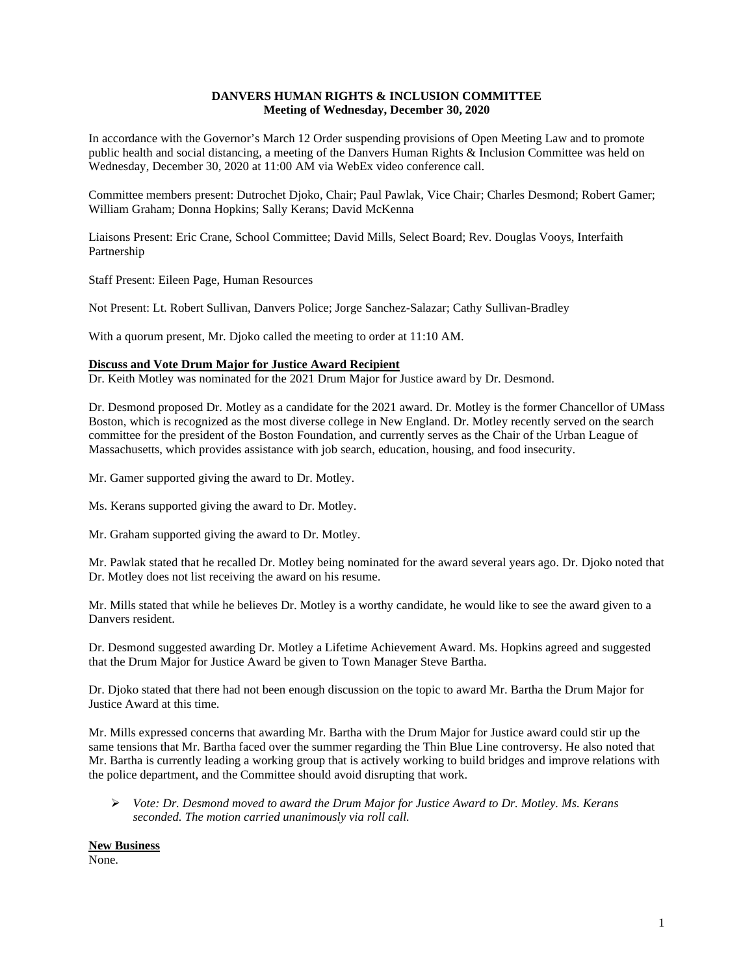## **DANVERS HUMAN RIGHTS & INCLUSION COMMITTEE Meeting of Wednesday, December 30, 2020**

In accordance with the Governor's March 12 Order suspending provisions of Open Meeting Law and to promote public health and social distancing, a meeting of the Danvers Human Rights & Inclusion Committee was held on Wednesday, December 30, 2020 at 11:00 AM via WebEx video conference call.

Committee members present: Dutrochet Djoko, Chair; Paul Pawlak, Vice Chair; Charles Desmond; Robert Gamer; William Graham; Donna Hopkins; Sally Kerans; David McKenna

Liaisons Present: Eric Crane, School Committee; David Mills, Select Board; Rev. Douglas Vooys, Interfaith Partnership

Staff Present: Eileen Page, Human Resources

Not Present: Lt. Robert Sullivan, Danvers Police; Jorge Sanchez-Salazar; Cathy Sullivan-Bradley

With a quorum present, Mr. Djoko called the meeting to order at 11:10 AM.

## **Discuss and Vote Drum Major for Justice Award Recipient**

Dr. Keith Motley was nominated for the 2021 Drum Major for Justice award by Dr. Desmond.

Dr. Desmond proposed Dr. Motley as a candidate for the 2021 award. Dr. Motley is the former Chancellor of UMass Boston, which is recognized as the most diverse college in New England. Dr. Motley recently served on the search committee for the president of the Boston Foundation, and currently serves as the Chair of the Urban League of Massachusetts, which provides assistance with job search, education, housing, and food insecurity.

Mr. Gamer supported giving the award to Dr. Motley.

Ms. Kerans supported giving the award to Dr. Motley.

Mr. Graham supported giving the award to Dr. Motley.

Mr. Pawlak stated that he recalled Dr. Motley being nominated for the award several years ago. Dr. Djoko noted that Dr. Motley does not list receiving the award on his resume.

Mr. Mills stated that while he believes Dr. Motley is a worthy candidate, he would like to see the award given to a Danvers resident.

Dr. Desmond suggested awarding Dr. Motley a Lifetime Achievement Award. Ms. Hopkins agreed and suggested that the Drum Major for Justice Award be given to Town Manager Steve Bartha.

Dr. Djoko stated that there had not been enough discussion on the topic to award Mr. Bartha the Drum Major for Justice Award at this time.

Mr. Mills expressed concerns that awarding Mr. Bartha with the Drum Major for Justice award could stir up the same tensions that Mr. Bartha faced over the summer regarding the Thin Blue Line controversy. He also noted that Mr. Bartha is currently leading a working group that is actively working to build bridges and improve relations with the police department, and the Committee should avoid disrupting that work.

 *Vote: Dr. Desmond moved to award the Drum Major for Justice Award to Dr. Motley. Ms. Kerans seconded. The motion carried unanimously via roll call.*

**New Business**

None.